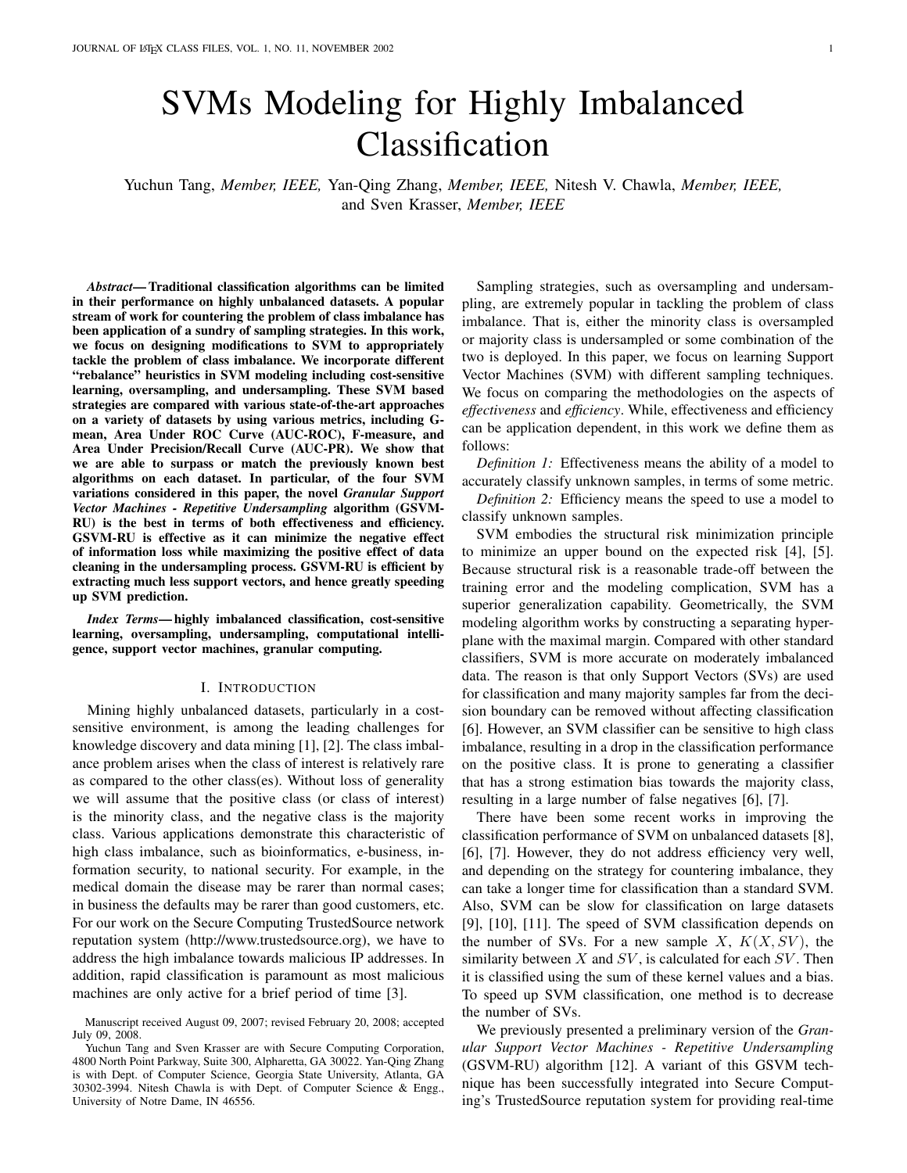# SVMs Modeling for Highly Imbalanced Classification

Yuchun Tang, *Member, IEEE,* Yan-Qing Zhang, *Member, IEEE,* Nitesh V. Chawla, *Member, IEEE,* and Sven Krasser, *Member, IEEE*

*Abstract*— Traditional classification algorithms can be limited in their performance on highly unbalanced datasets. A popular stream of work for countering the problem of class imbalance has been application of a sundry of sampling strategies. In this work, we focus on designing modifications to SVM to appropriately tackle the problem of class imbalance. We incorporate different "rebalance" heuristics in SVM modeling including cost-sensitive learning, oversampling, and undersampling. These SVM based strategies are compared with various state-of-the-art approaches on a variety of datasets by using various metrics, including Gmean, Area Under ROC Curve (AUC-ROC), F-measure, and Area Under Precision/Recall Curve (AUC-PR). We show that we are able to surpass or match the previously known best algorithms on each dataset. In particular, of the four SVM variations considered in this paper, the novel *Granular Support Vector Machines - Repetitive Undersampling* algorithm (GSVM-RU) is the best in terms of both effectiveness and efficiency. GSVM-RU is effective as it can minimize the negative effect of information loss while maximizing the positive effect of data cleaning in the undersampling process. GSVM-RU is efficient by extracting much less support vectors, and hence greatly speeding up SVM prediction.

*Index Terms*— highly imbalanced classification, cost-sensitive learning, oversampling, undersampling, computational intelligence, support vector machines, granular computing.

#### I. INTRODUCTION

Mining highly unbalanced datasets, particularly in a costsensitive environment, is among the leading challenges for knowledge discovery and data mining [1], [2]. The class imbalance problem arises when the class of interest is relatively rare as compared to the other class(es). Without loss of generality we will assume that the positive class (or class of interest) is the minority class, and the negative class is the majority class. Various applications demonstrate this characteristic of high class imbalance, such as bioinformatics, e-business, information security, to national security. For example, in the medical domain the disease may be rarer than normal cases; in business the defaults may be rarer than good customers, etc. For our work on the Secure Computing TrustedSource network reputation system (http://www.trustedsource.org), we have to address the high imbalance towards malicious IP addresses. In addition, rapid classification is paramount as most malicious machines are only active for a brief period of time [3].

Sampling strategies, such as oversampling and undersampling, are extremely popular in tackling the problem of class imbalance. That is, either the minority class is oversampled or majority class is undersampled or some combination of the two is deployed. In this paper, we focus on learning Support Vector Machines (SVM) with different sampling techniques. We focus on comparing the methodologies on the aspects of *effectiveness* and *efficiency*. While, effectiveness and efficiency can be application dependent, in this work we define them as follows:

*Definition 1:* Effectiveness means the ability of a model to accurately classify unknown samples, in terms of some metric.

*Definition 2:* Efficiency means the speed to use a model to classify unknown samples.

SVM embodies the structural risk minimization principle to minimize an upper bound on the expected risk [4], [5]. Because structural risk is a reasonable trade-off between the training error and the modeling complication, SVM has a superior generalization capability. Geometrically, the SVM modeling algorithm works by constructing a separating hyperplane with the maximal margin. Compared with other standard classifiers, SVM is more accurate on moderately imbalanced data. The reason is that only Support Vectors (SVs) are used for classification and many majority samples far from the decision boundary can be removed without affecting classification [6]. However, an SVM classifier can be sensitive to high class imbalance, resulting in a drop in the classification performance on the positive class. It is prone to generating a classifier that has a strong estimation bias towards the majority class, resulting in a large number of false negatives [6], [7].

There have been some recent works in improving the classification performance of SVM on unbalanced datasets [8], [6], [7]. However, they do not address efficiency very well, and depending on the strategy for countering imbalance, they can take a longer time for classification than a standard SVM. Also, SVM can be slow for classification on large datasets [9], [10], [11]. The speed of SVM classification depends on the number of SVs. For a new sample X,  $K(X, SV)$ , the similarity between  $X$  and  $SV$ , is calculated for each  $SV$ . Then it is classified using the sum of these kernel values and a bias. To speed up SVM classification, one method is to decrease the number of SVs.

We previously presented a preliminary version of the *Granular Support Vector Machines - Repetitive Undersampling* (GSVM-RU) algorithm [12]. A variant of this GSVM technique has been successfully integrated into Secure Computing's TrustedSource reputation system for providing real-time

Manuscript received August 09, 2007; revised February 20, 2008; accepted July 09, 2008.

Yuchun Tang and Sven Krasser are with Secure Computing Corporation, 4800 North Point Parkway, Suite 300, Alpharetta, GA 30022. Yan-Qing Zhang is with Dept. of Computer Science, Georgia State University, Atlanta, GA 30302-3994. Nitesh Chawla is with Dept. of Computer Science & Engg., University of Notre Dame, IN 46556.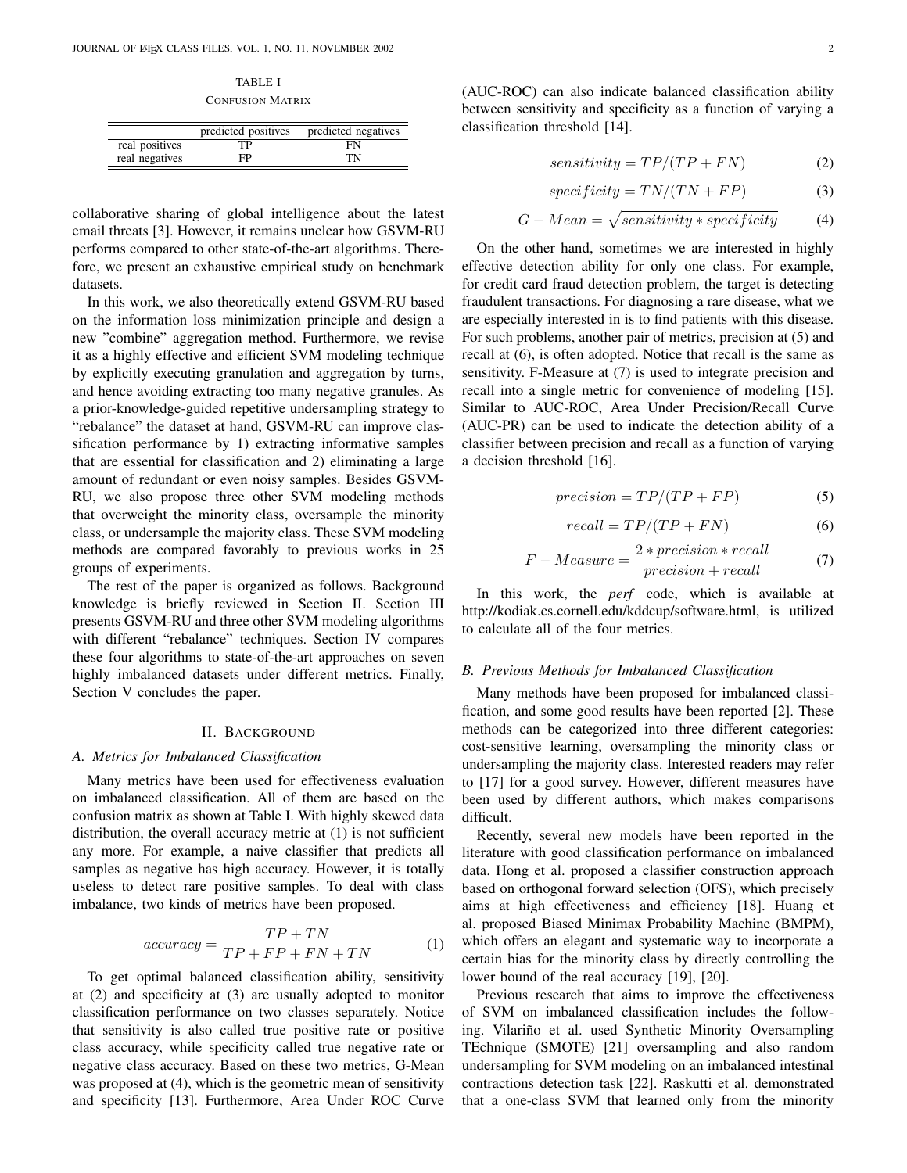TABLE I CONFUSION MATRIX

|                | predicted positives | predicted negatives |
|----------------|---------------------|---------------------|
| real positives | ТP                  | FN                  |
| real negatives | FP                  | TN                  |

collaborative sharing of global intelligence about the latest email threats [3]. However, it remains unclear how GSVM-RU performs compared to other state-of-the-art algorithms. Therefore, we present an exhaustive empirical study on benchmark datasets.

In this work, we also theoretically extend GSVM-RU based on the information loss minimization principle and design a new "combine" aggregation method. Furthermore, we revise it as a highly effective and efficient SVM modeling technique by explicitly executing granulation and aggregation by turns, and hence avoiding extracting too many negative granules. As a prior-knowledge-guided repetitive undersampling strategy to "rebalance" the dataset at hand, GSVM-RU can improve classification performance by 1) extracting informative samples that are essential for classification and 2) eliminating a large amount of redundant or even noisy samples. Besides GSVM-RU, we also propose three other SVM modeling methods that overweight the minority class, oversample the minority class, or undersample the majority class. These SVM modeling methods are compared favorably to previous works in 25 groups of experiments.

The rest of the paper is organized as follows. Background knowledge is briefly reviewed in Section II. Section III presents GSVM-RU and three other SVM modeling algorithms with different "rebalance" techniques. Section IV compares these four algorithms to state-of-the-art approaches on seven highly imbalanced datasets under different metrics. Finally, Section V concludes the paper.

### II. BACKGROUND

#### *A. Metrics for Imbalanced Classification*

Many metrics have been used for effectiveness evaluation on imbalanced classification. All of them are based on the confusion matrix as shown at Table I. With highly skewed data distribution, the overall accuracy metric at (1) is not sufficient any more. For example, a naive classifier that predicts all samples as negative has high accuracy. However, it is totally useless to detect rare positive samples. To deal with class imbalance, two kinds of metrics have been proposed.

$$
accuracy = \frac{TP + TN}{TP + FP + FN + TN}
$$
 (1)

To get optimal balanced classification ability, sensitivity at (2) and specificity at (3) are usually adopted to monitor classification performance on two classes separately. Notice that sensitivity is also called true positive rate or positive class accuracy, while specificity called true negative rate or negative class accuracy. Based on these two metrics, G-Mean was proposed at (4), which is the geometric mean of sensitivity and specificity [13]. Furthermore, Area Under ROC Curve (AUC-ROC) can also indicate balanced classification ability between sensitivity and specificity as a function of varying a classification threshold [14].

$$
sensitivity = TP/(TP + FN)
$$
 (2)

$$
specificity = TN/(TN + FP)
$$
 (3)

$$
G-Mean = \sqrt{sensitivity * specificity}
$$
 (4)

On the other hand, sometimes we are interested in highly effective detection ability for only one class. For example, for credit card fraud detection problem, the target is detecting fraudulent transactions. For diagnosing a rare disease, what we are especially interested in is to find patients with this disease. For such problems, another pair of metrics, precision at (5) and recall at (6), is often adopted. Notice that recall is the same as sensitivity. F-Measure at (7) is used to integrate precision and recall into a single metric for convenience of modeling [15]. Similar to AUC-ROC, Area Under Precision/Recall Curve (AUC-PR) can be used to indicate the detection ability of a classifier between precision and recall as a function of varying a decision threshold [16].

$$
precision = TP/(TP + FP)
$$
 (5)

$$
recall = TP/(TP + FN)
$$
 (6)

$$
F-Measure = \frac{2*precision*recall}{precision+recall}
$$
 (7)

In this work, the *perf* code, which is available at http://kodiak.cs.cornell.edu/kddcup/software.html, is utilized to calculate all of the four metrics.

#### *B. Previous Methods for Imbalanced Classification*

Many methods have been proposed for imbalanced classification, and some good results have been reported [2]. These methods can be categorized into three different categories: cost-sensitive learning, oversampling the minority class or undersampling the majority class. Interested readers may refer to [17] for a good survey. However, different measures have been used by different authors, which makes comparisons difficult.

Recently, several new models have been reported in the literature with good classification performance on imbalanced data. Hong et al. proposed a classifier construction approach based on orthogonal forward selection (OFS), which precisely aims at high effectiveness and efficiency [18]. Huang et al. proposed Biased Minimax Probability Machine (BMPM), which offers an elegant and systematic way to incorporate a certain bias for the minority class by directly controlling the lower bound of the real accuracy [19], [20].

Previous research that aims to improve the effectiveness of SVM on imbalanced classification includes the following. Vilariño et al. used Synthetic Minority Oversampling TEchnique (SMOTE) [21] oversampling and also random undersampling for SVM modeling on an imbalanced intestinal contractions detection task [22]. Raskutti et al. demonstrated that a one-class SVM that learned only from the minority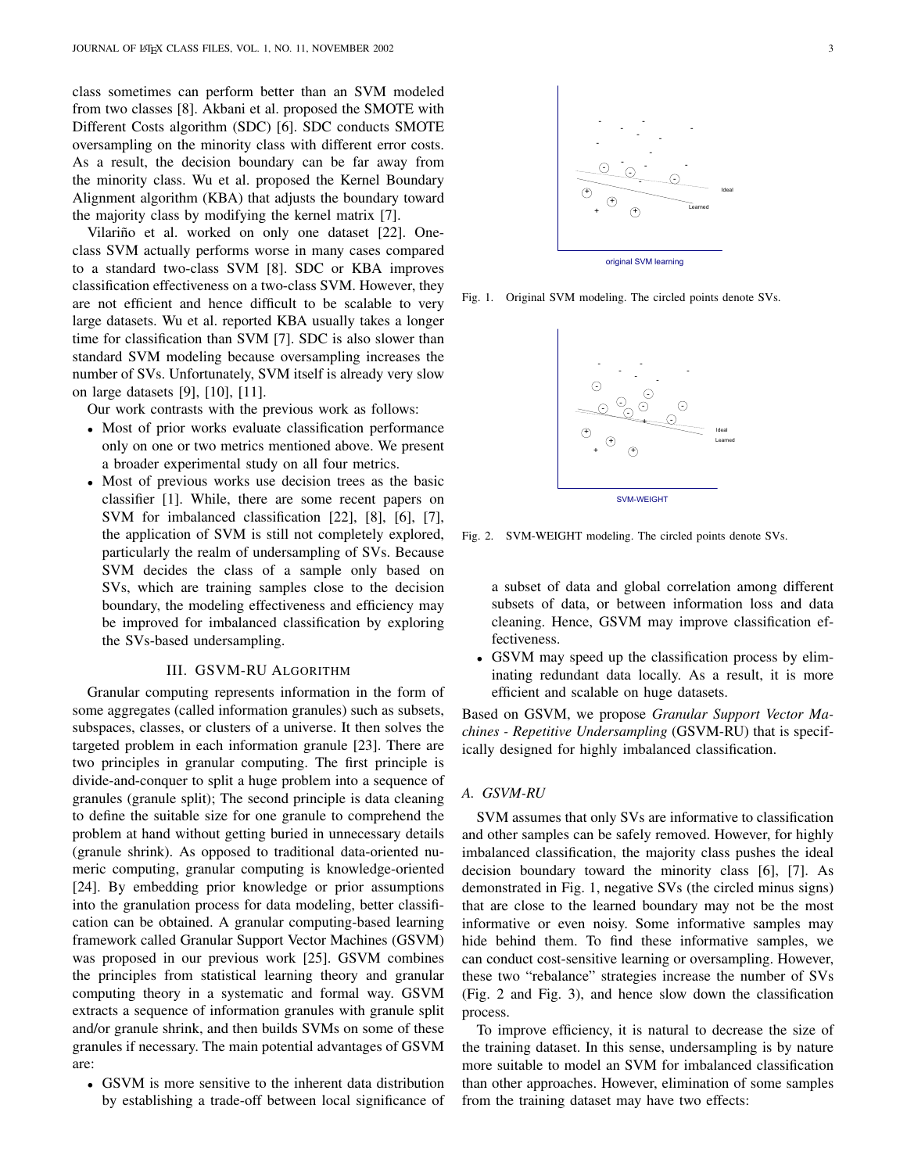class sometimes can perform better than an SVM modeled from two classes [8]. Akbani et al. proposed the SMOTE with Different Costs algorithm (SDC) [6]. SDC conducts SMOTE oversampling on the minority class with different error costs. As a result, the decision boundary can be far away from the minority class. Wu et al. proposed the Kernel Boundary Alignment algorithm (KBA) that adjusts the boundary toward the majority class by modifying the kernel matrix [7].

Vilariño et al. worked on only one dataset [22]. Oneclass SVM actually performs worse in many cases compared to a standard two-class SVM [8]. SDC or KBA improves classification effectiveness on a two-class SVM. However, they are not efficient and hence difficult to be scalable to very large datasets. Wu et al. reported KBA usually takes a longer time for classification than SVM [7]. SDC is also slower than standard SVM modeling because oversampling increases the number of SVs. Unfortunately, SVM itself is already very slow on large datasets [9], [10], [11].

Our work contrasts with the previous work as follows:

- Most of prior works evaluate classification performance only on one or two metrics mentioned above. We present a broader experimental study on all four metrics.
- Most of previous works use decision trees as the basic classifier [1]. While, there are some recent papers on SVM for imbalanced classification [22], [8], [6], [7], the application of SVM is still not completely explored, particularly the realm of undersampling of SVs. Because SVM decides the class of a sample only based on SVs, which are training samples close to the decision boundary, the modeling effectiveness and efficiency may be improved for imbalanced classification by exploring the SVs-based undersampling.

## III. GSVM-RU ALGORITHM

Granular computing represents information in the form of some aggregates (called information granules) such as subsets, subspaces, classes, or clusters of a universe. It then solves the targeted problem in each information granule [23]. There are two principles in granular computing. The first principle is divide-and-conquer to split a huge problem into a sequence of granules (granule split); The second principle is data cleaning to define the suitable size for one granule to comprehend the problem at hand without getting buried in unnecessary details (granule shrink). As opposed to traditional data-oriented numeric computing, granular computing is knowledge-oriented [24]. By embedding prior knowledge or prior assumptions into the granulation process for data modeling, better classification can be obtained. A granular computing-based learning framework called Granular Support Vector Machines (GSVM) was proposed in our previous work [25]. GSVM combines the principles from statistical learning theory and granular computing theory in a systematic and formal way. GSVM extracts a sequence of information granules with granule split and/or granule shrink, and then builds SVMs on some of these granules if necessary. The main potential advantages of GSVM are:

• GSVM is more sensitive to the inherent data distribution by establishing a trade-off between local significance of



Fig. 1. Original SVM modeling. The circled points denote SVs.



Fig. 2. SVM-WEIGHT modeling. The circled points denote SVs.

a subset of data and global correlation among different subsets of data, or between information loss and data cleaning. Hence, GSVM may improve classification effectiveness.

• GSVM may speed up the classification process by eliminating redundant data locally. As a result, it is more efficient and scalable on huge datasets.

Based on GSVM, we propose *Granular Support Vector Machines - Repetitive Undersampling* (GSVM-RU) that is specifically designed for highly imbalanced classification.

# *A. GSVM-RU*

SVM assumes that only SVs are informative to classification and other samples can be safely removed. However, for highly imbalanced classification, the majority class pushes the ideal decision boundary toward the minority class [6], [7]. As demonstrated in Fig. 1, negative SVs (the circled minus signs) that are close to the learned boundary may not be the most informative or even noisy. Some informative samples may hide behind them. To find these informative samples, we can conduct cost-sensitive learning or oversampling. However, these two "rebalance" strategies increase the number of SVs (Fig. 2 and Fig. 3), and hence slow down the classification process.

To improve efficiency, it is natural to decrease the size of the training dataset. In this sense, undersampling is by nature more suitable to model an SVM for imbalanced classification than other approaches. However, elimination of some samples from the training dataset may have two effects: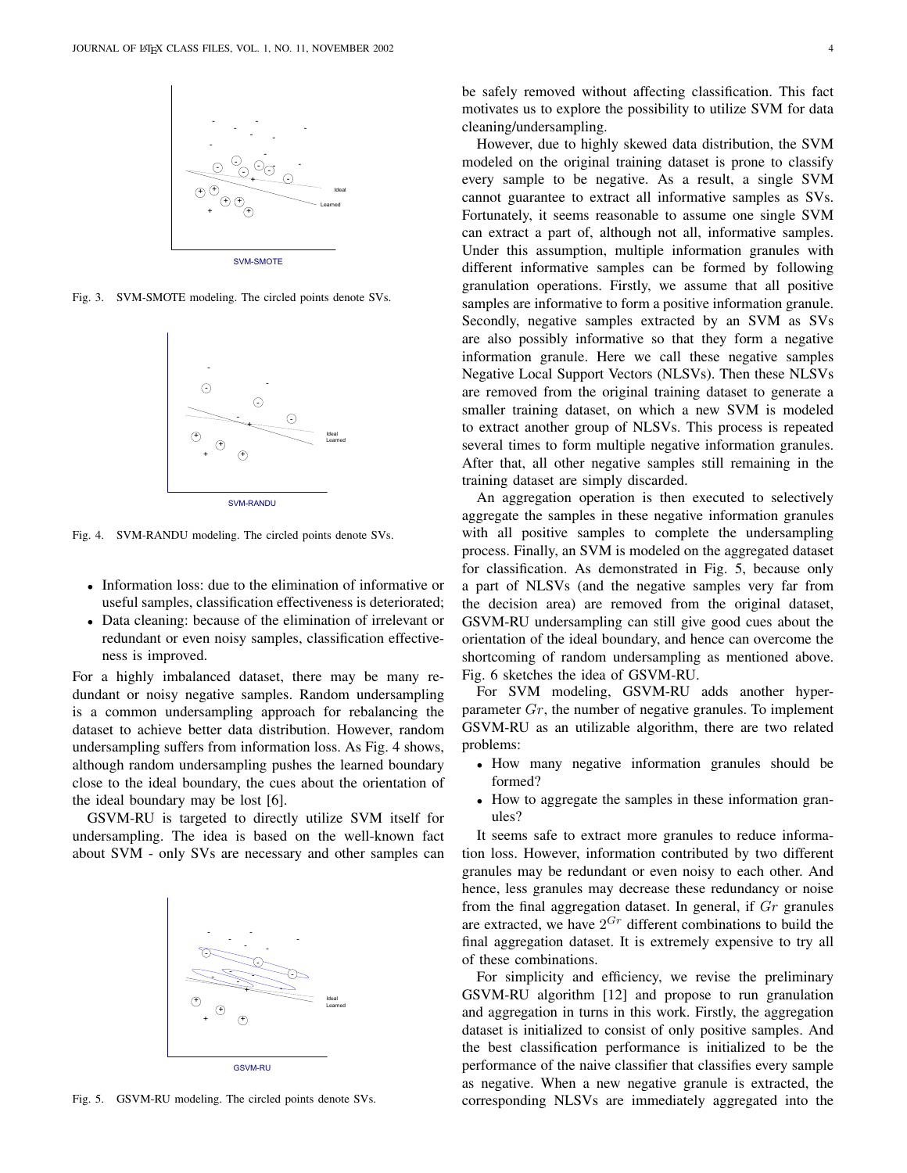

Fig. 3. SVM-SMOTE modeling. The circled points denote SVs.



Fig. 4. SVM-RANDU modeling. The circled points denote SVs.

- Information loss: due to the elimination of informative or useful samples, classification effectiveness is deteriorated;
- Data cleaning: because of the elimination of irrelevant or redundant or even noisy samples, classification effectiveness is improved.

For a highly imbalanced dataset, there may be many redundant or noisy negative samples. Random undersampling is a common undersampling approach for rebalancing the dataset to achieve better data distribution. However, random undersampling suffers from information loss. As Fig. 4 shows, although random undersampling pushes the learned boundary close to the ideal boundary, the cues about the orientation of the ideal boundary may be lost [6].

GSVM-RU is targeted to directly utilize SVM itself for undersampling. The idea is based on the well-known fact about SVM - only SVs are necessary and other samples can



Fig. 5. GSVM-RU modeling. The circled points denote SVs.

cleaning/undersampling. However, due to highly skewed data distribution, the SVM modeled on the original training dataset is prone to classify every sample to be negative. As a result, a single SVM cannot guarantee to extract all informative samples as SVs. Fortunately, it seems reasonable to assume one single SVM can extract a part of, although not all, informative samples. Under this assumption, multiple information granules with different informative samples can be formed by following granulation operations. Firstly, we assume that all positive samples are informative to form a positive information granule. Secondly, negative samples extracted by an SVM as SVs are also possibly informative so that they form a negative information granule. Here we call these negative samples Negative Local Support Vectors (NLSVs). Then these NLSVs are removed from the original training dataset to generate a smaller training dataset, on which a new SVM is modeled to extract another group of NLSVs. This process is repeated several times to form multiple negative information granules. After that, all other negative samples still remaining in the training dataset are simply discarded.

motivates us to explore the possibility to utilize SVM for data

An aggregation operation is then executed to selectively aggregate the samples in these negative information granules with all positive samples to complete the undersampling process. Finally, an SVM is modeled on the aggregated dataset for classification. As demonstrated in Fig. 5, because only a part of NLSVs (and the negative samples very far from the decision area) are removed from the original dataset, GSVM-RU undersampling can still give good cues about the orientation of the ideal boundary, and hence can overcome the shortcoming of random undersampling as mentioned above. Fig. 6 sketches the idea of GSVM-RU.

For SVM modeling, GSVM-RU adds another hyperparameter Gr, the number of negative granules. To implement GSVM-RU as an utilizable algorithm, there are two related problems:

- How many negative information granules should be formed?
- How to aggregate the samples in these information granules?

It seems safe to extract more granules to reduce information loss. However, information contributed by two different granules may be redundant or even noisy to each other. And hence, less granules may decrease these redundancy or noise from the final aggregation dataset. In general, if  $Gr$  granules are extracted, we have  $2^{Gr}$  different combinations to build the final aggregation dataset. It is extremely expensive to try all of these combinations.

For simplicity and efficiency, we revise the preliminary GSVM-RU algorithm [12] and propose to run granulation and aggregation in turns in this work. Firstly, the aggregation dataset is initialized to consist of only positive samples. And the best classification performance is initialized to be the performance of the naive classifier that classifies every sample as negative. When a new negative granule is extracted, the corresponding NLSVs are immediately aggregated into the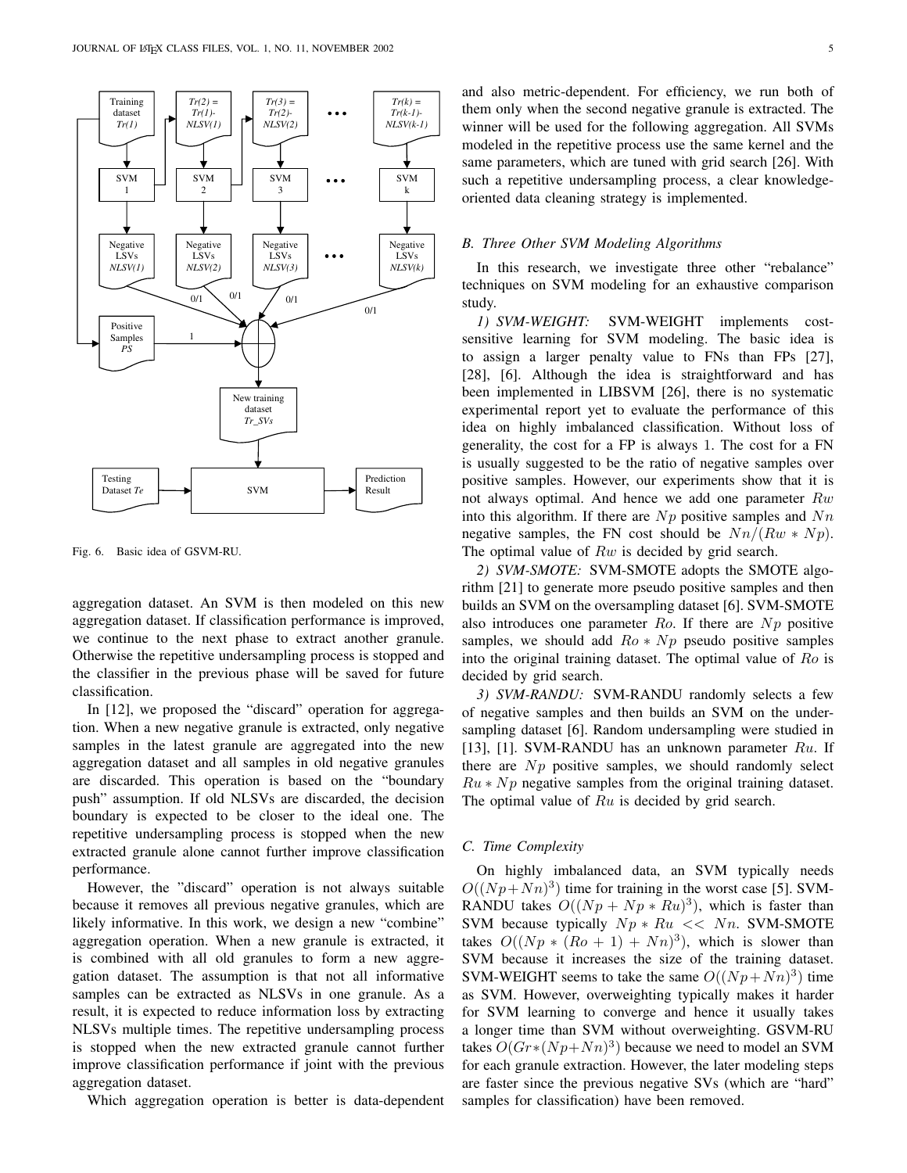

Fig. 6. Basic idea of GSVM-RU.

aggregation dataset. An SVM is then modeled on this new aggregation dataset. If classification performance is improved, we continue to the next phase to extract another granule. Otherwise the repetitive undersampling process is stopped and the classifier in the previous phase will be saved for future classification.

In [12], we proposed the "discard" operation for aggregation. When a new negative granule is extracted, only negative samples in the latest granule are aggregated into the new aggregation dataset and all samples in old negative granules are discarded. This operation is based on the "boundary push" assumption. If old NLSVs are discarded, the decision boundary is expected to be closer to the ideal one. The repetitive undersampling process is stopped when the new extracted granule alone cannot further improve classification performance.

However, the "discard" operation is not always suitable because it removes all previous negative granules, which are likely informative. In this work, we design a new "combine" aggregation operation. When a new granule is extracted, it is combined with all old granules to form a new aggregation dataset. The assumption is that not all informative samples can be extracted as NLSVs in one granule. As a result, it is expected to reduce information loss by extracting NLSVs multiple times. The repetitive undersampling process is stopped when the new extracted granule cannot further improve classification performance if joint with the previous aggregation dataset.

Which aggregation operation is better is data-dependent

and also metric-dependent. For efficiency, we run both of them only when the second negative granule is extracted. The winner will be used for the following aggregation. All SVMs modeled in the repetitive process use the same kernel and the same parameters, which are tuned with grid search [26]. With such a repetitive undersampling process, a clear knowledgeoriented data cleaning strategy is implemented.

# *B. Three Other SVM Modeling Algorithms*

In this research, we investigate three other "rebalance" techniques on SVM modeling for an exhaustive comparison study.

*1) SVM-WEIGHT:* SVM-WEIGHT implements costsensitive learning for SVM modeling. The basic idea is to assign a larger penalty value to FNs than FPs [27], [28], [6]. Although the idea is straightforward and has been implemented in LIBSVM [26], there is no systematic experimental report yet to evaluate the performance of this idea on highly imbalanced classification. Without loss of generality, the cost for a FP is always 1. The cost for a FN is usually suggested to be the ratio of negative samples over positive samples. However, our experiments show that it is not always optimal. And hence we add one parameter  $Rw$ into this algorithm. If there are  $Np$  positive samples and  $Nn$ negative samples, the FN cost should be  $Nn/(Rw*Np)$ . The optimal value of  $Rw$  is decided by grid search.

*2) SVM-SMOTE:* SVM-SMOTE adopts the SMOTE algorithm [21] to generate more pseudo positive samples and then builds an SVM on the oversampling dataset [6]. SVM-SMOTE also introduces one parameter  $Ro$ . If there are  $Np$  positive samples, we should add  $Ro * Np$  pseudo positive samples into the original training dataset. The optimal value of Ro is decided by grid search.

*3) SVM-RANDU:* SVM-RANDU randomly selects a few of negative samples and then builds an SVM on the undersampling dataset [6]. Random undersampling were studied in [13], [1]. SVM-RANDU has an unknown parameter  $Ru$ . If there are  $Np$  positive samples, we should randomly select  $Ru * Np$  negative samples from the original training dataset. The optimal value of  $Ru$  is decided by grid search.

#### *C. Time Complexity*

On highly imbalanced data, an SVM typically needs  $O((Np + Nn)^3)$  time for training in the worst case [5]. SVM-RANDU takes  $O((Np + Np * Ru)^3)$ , which is faster than SVM because typically  $Np * Ru \ll Nn$ . SVM-SMOTE takes  $O((Np * (Ro + 1) + Nn)^3)$ , which is slower than SVM because it increases the size of the training dataset. SVM-WEIGHT seems to take the same  $O((Np + Nn)^3)$  time as SVM. However, overweighting typically makes it harder for SVM learning to converge and hence it usually takes a longer time than SVM without overweighting. GSVM-RU takes  $O(Gr*(Np+Nn)^3)$  because we need to model an SVM for each granule extraction. However, the later modeling steps are faster since the previous negative SVs (which are "hard" samples for classification) have been removed.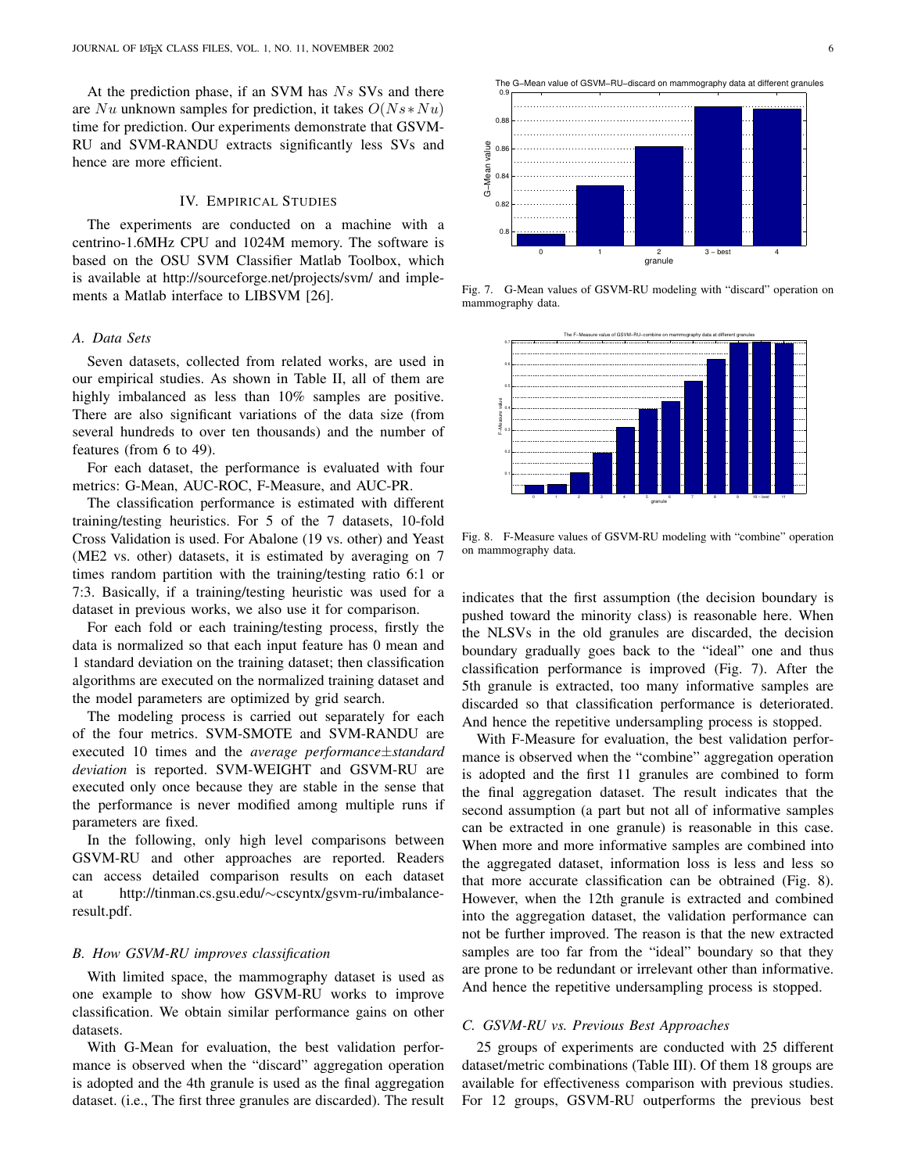At the prediction phase, if an SVM has  $Ns$  SVs and there are Nu unknown samples for prediction, it takes  $O(Ns*Nu)$ time for prediction. Our experiments demonstrate that GSVM-RU and SVM-RANDU extracts significantly less SVs and hence are more efficient.

## IV. EMPIRICAL STUDIES

The experiments are conducted on a machine with a centrino-1.6MHz CPU and 1024M memory. The software is based on the OSU SVM Classifier Matlab Toolbox, which is available at http://sourceforge.net/projects/svm/ and implements a Matlab interface to LIBSVM [26].

#### *A. Data Sets*

Seven datasets, collected from related works, are used in our empirical studies. As shown in Table II, all of them are highly imbalanced as less than 10% samples are positive. There are also significant variations of the data size (from several hundreds to over ten thousands) and the number of features (from 6 to 49).

For each dataset, the performance is evaluated with four metrics: G-Mean, AUC-ROC, F-Measure, and AUC-PR.

The classification performance is estimated with different training/testing heuristics. For 5 of the 7 datasets, 10-fold Cross Validation is used. For Abalone (19 vs. other) and Yeast (ME2 vs. other) datasets, it is estimated by averaging on 7 times random partition with the training/testing ratio 6:1 or 7:3. Basically, if a training/testing heuristic was used for a dataset in previous works, we also use it for comparison.

For each fold or each training/testing process, firstly the data is normalized so that each input feature has 0 mean and 1 standard deviation on the training dataset; then classification algorithms are executed on the normalized training dataset and the model parameters are optimized by grid search.

The modeling process is carried out separately for each of the four metrics. SVM-SMOTE and SVM-RANDU are executed 10 times and the *average performance*±*standard deviation* is reported. SVM-WEIGHT and GSVM-RU are executed only once because they are stable in the sense that the performance is never modified among multiple runs if parameters are fixed.

In the following, only high level comparisons between GSVM-RU and other approaches are reported. Readers can access detailed comparison results on each dataset at http://tinman.cs.gsu.edu/∼cscyntx/gsvm-ru/imbalanceresult.pdf.

## *B. How GSVM-RU improves classification*

With limited space, the mammography dataset is used as one example to show how GSVM-RU works to improve classification. We obtain similar performance gains on other datasets.

With G-Mean for evaluation, the best validation performance is observed when the "discard" aggregation operation is adopted and the 4th granule is used as the final aggregation dataset. (i.e., The first three granules are discarded). The result



Fig. 7. G-Mean values of GSVM-RU modeling with "discard" operation on mammography data.



Fig. 8. F-Measure values of GSVM-RU modeling with "combine" operation on mammography data.

indicates that the first assumption (the decision boundary is pushed toward the minority class) is reasonable here. When the NLSVs in the old granules are discarded, the decision boundary gradually goes back to the "ideal" one and thus classification performance is improved (Fig. 7). After the 5th granule is extracted, too many informative samples are discarded so that classification performance is deteriorated. And hence the repetitive undersampling process is stopped.

With F-Measure for evaluation, the best validation performance is observed when the "combine" aggregation operation is adopted and the first 11 granules are combined to form the final aggregation dataset. The result indicates that the second assumption (a part but not all of informative samples can be extracted in one granule) is reasonable in this case. When more and more informative samples are combined into the aggregated dataset, information loss is less and less so that more accurate classification can be obtrained (Fig. 8). However, when the 12th granule is extracted and combined into the aggregation dataset, the validation performance can not be further improved. The reason is that the new extracted samples are too far from the "ideal" boundary so that they are prone to be redundant or irrelevant other than informative. And hence the repetitive undersampling process is stopped.

## *C. GSVM-RU vs. Previous Best Approaches*

25 groups of experiments are conducted with 25 different dataset/metric combinations (Table III). Of them 18 groups are available for effectiveness comparison with previous studies. For 12 groups, GSVM-RU outperforms the previous best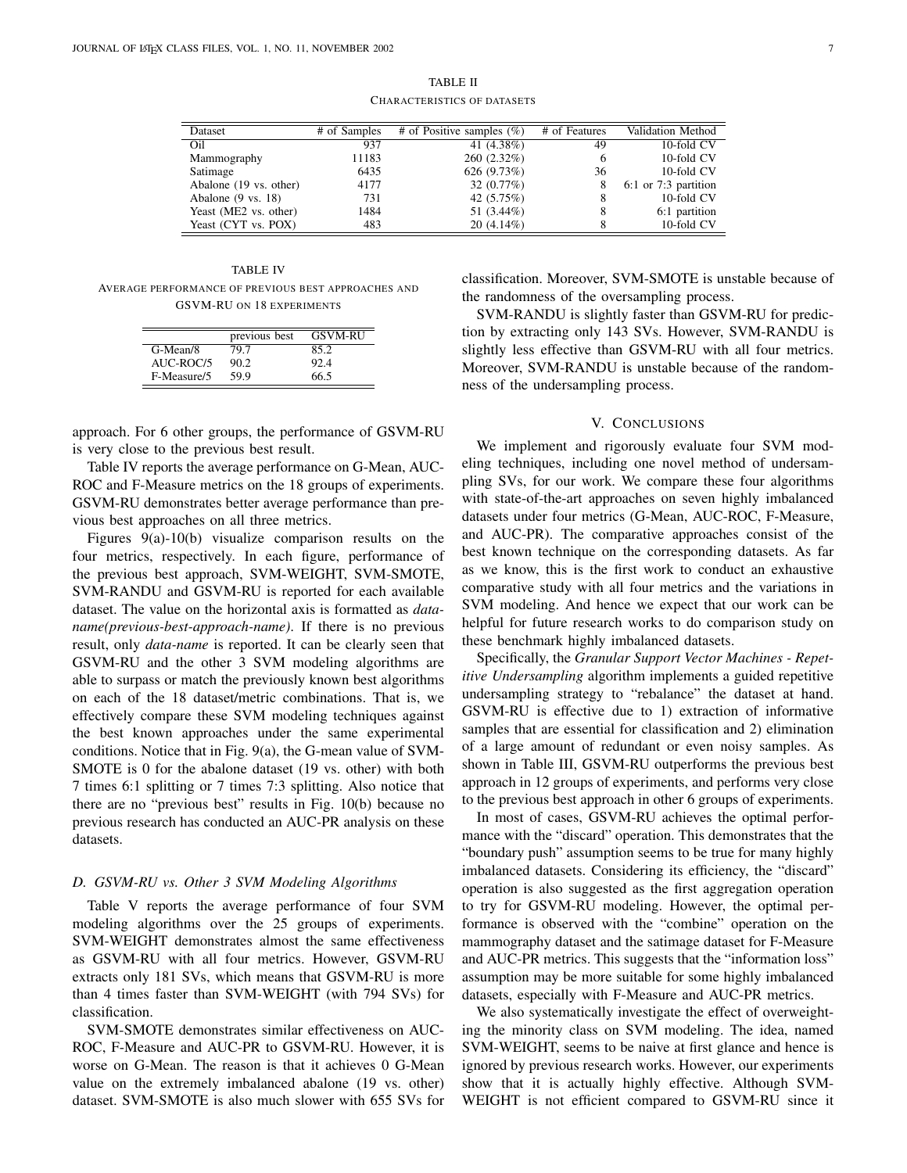| TABLE II                           |  |
|------------------------------------|--|
| <b>CHARACTERISTICS OF DATASETS</b> |  |

| Dataset                       | # of Samples | $\overline{\#}$ of Positive samples (%) | # of Features | Validation Method      |
|-------------------------------|--------------|-----------------------------------------|---------------|------------------------|
| Oil                           | 937          | 41 (4.38%)                              | 49            | 10-fold CV             |
| Mammography                   | 11183        | $260(2.32\%)$                           | <sub>(</sub>  | 10-fold CV             |
| Satimage                      | 6435         | 626(9.73%)                              | 36            | 10-fold CV             |
| Abalone (19 vs. other)        | 4177         | 32 $(0.77%)$                            | 8             | $6:1$ or 7:3 partition |
| Abalone $(9 \text{ vs. } 18)$ | 731          | 42 (5.75%)                              | 8             | 10-fold CV             |
| Yeast (ME2 vs. other)         | 1484         | 51 (3.44%)                              | 8             | 6:1 partition          |
| Yeast (CYT vs. POX)           | 483          | $20(4.14\%)$                            |               | 10-fold CV             |

TABLE IV AVERAGE PERFORMANCE OF PREVIOUS BEST APPROACHES AND GSVM-RU ON 18 EXPERIMENTS

|             | previous best | <b>GSVM-RU</b> |
|-------------|---------------|----------------|
| G-Mean/8    | 79.7          | 85.2           |
| AUC-ROC/5   | 90.2          | 92.4           |
| F-Measure/5 | 59.9          | 66.5           |

approach. For 6 other groups, the performance of GSVM-RU is very close to the previous best result.

Table IV reports the average performance on G-Mean, AUC-ROC and F-Measure metrics on the 18 groups of experiments. GSVM-RU demonstrates better average performance than previous best approaches on all three metrics.

Figures 9(a)-10(b) visualize comparison results on the four metrics, respectively. In each figure, performance of the previous best approach, SVM-WEIGHT, SVM-SMOTE, SVM-RANDU and GSVM-RU is reported for each available dataset. The value on the horizontal axis is formatted as *dataname(previous-best-approach-name)*. If there is no previous result, only *data-name* is reported. It can be clearly seen that GSVM-RU and the other 3 SVM modeling algorithms are able to surpass or match the previously known best algorithms on each of the 18 dataset/metric combinations. That is, we effectively compare these SVM modeling techniques against the best known approaches under the same experimental conditions. Notice that in Fig. 9(a), the G-mean value of SVM-SMOTE is 0 for the abalone dataset (19 vs. other) with both 7 times 6:1 splitting or 7 times 7:3 splitting. Also notice that there are no "previous best" results in Fig. 10(b) because no previous research has conducted an AUC-PR analysis on these datasets.

### *D. GSVM-RU vs. Other 3 SVM Modeling Algorithms*

Table V reports the average performance of four SVM modeling algorithms over the 25 groups of experiments. SVM-WEIGHT demonstrates almost the same effectiveness as GSVM-RU with all four metrics. However, GSVM-RU extracts only 181 SVs, which means that GSVM-RU is more than 4 times faster than SVM-WEIGHT (with 794 SVs) for classification.

SVM-SMOTE demonstrates similar effectiveness on AUC-ROC, F-Measure and AUC-PR to GSVM-RU. However, it is worse on G-Mean. The reason is that it achieves 0 G-Mean value on the extremely imbalanced abalone (19 vs. other) dataset. SVM-SMOTE is also much slower with 655 SVs for classification. Moreover, SVM-SMOTE is unstable because of the randomness of the oversampling process.

SVM-RANDU is slightly faster than GSVM-RU for prediction by extracting only 143 SVs. However, SVM-RANDU is slightly less effective than GSVM-RU with all four metrics. Moreover, SVM-RANDU is unstable because of the randomness of the undersampling process.

# V. CONCLUSIONS

We implement and rigorously evaluate four SVM modeling techniques, including one novel method of undersampling SVs, for our work. We compare these four algorithms with state-of-the-art approaches on seven highly imbalanced datasets under four metrics (G-Mean, AUC-ROC, F-Measure, and AUC-PR). The comparative approaches consist of the best known technique on the corresponding datasets. As far as we know, this is the first work to conduct an exhaustive comparative study with all four metrics and the variations in SVM modeling. And hence we expect that our work can be helpful for future research works to do comparison study on these benchmark highly imbalanced datasets.

Specifically, the *Granular Support Vector Machines - Repetitive Undersampling* algorithm implements a guided repetitive undersampling strategy to "rebalance" the dataset at hand. GSVM-RU is effective due to 1) extraction of informative samples that are essential for classification and 2) elimination of a large amount of redundant or even noisy samples. As shown in Table III, GSVM-RU outperforms the previous best approach in 12 groups of experiments, and performs very close to the previous best approach in other 6 groups of experiments.

In most of cases, GSVM-RU achieves the optimal performance with the "discard" operation. This demonstrates that the "boundary push" assumption seems to be true for many highly imbalanced datasets. Considering its efficiency, the "discard" operation is also suggested as the first aggregation operation to try for GSVM-RU modeling. However, the optimal performance is observed with the "combine" operation on the mammography dataset and the satimage dataset for F-Measure and AUC-PR metrics. This suggests that the "information loss" assumption may be more suitable for some highly imbalanced datasets, especially with F-Measure and AUC-PR metrics.

We also systematically investigate the effect of overweighting the minority class on SVM modeling. The idea, named SVM-WEIGHT, seems to be naive at first glance and hence is ignored by previous research works. However, our experiments show that it is actually highly effective. Although SVM-WEIGHT is not efficient compared to GSVM-RU since it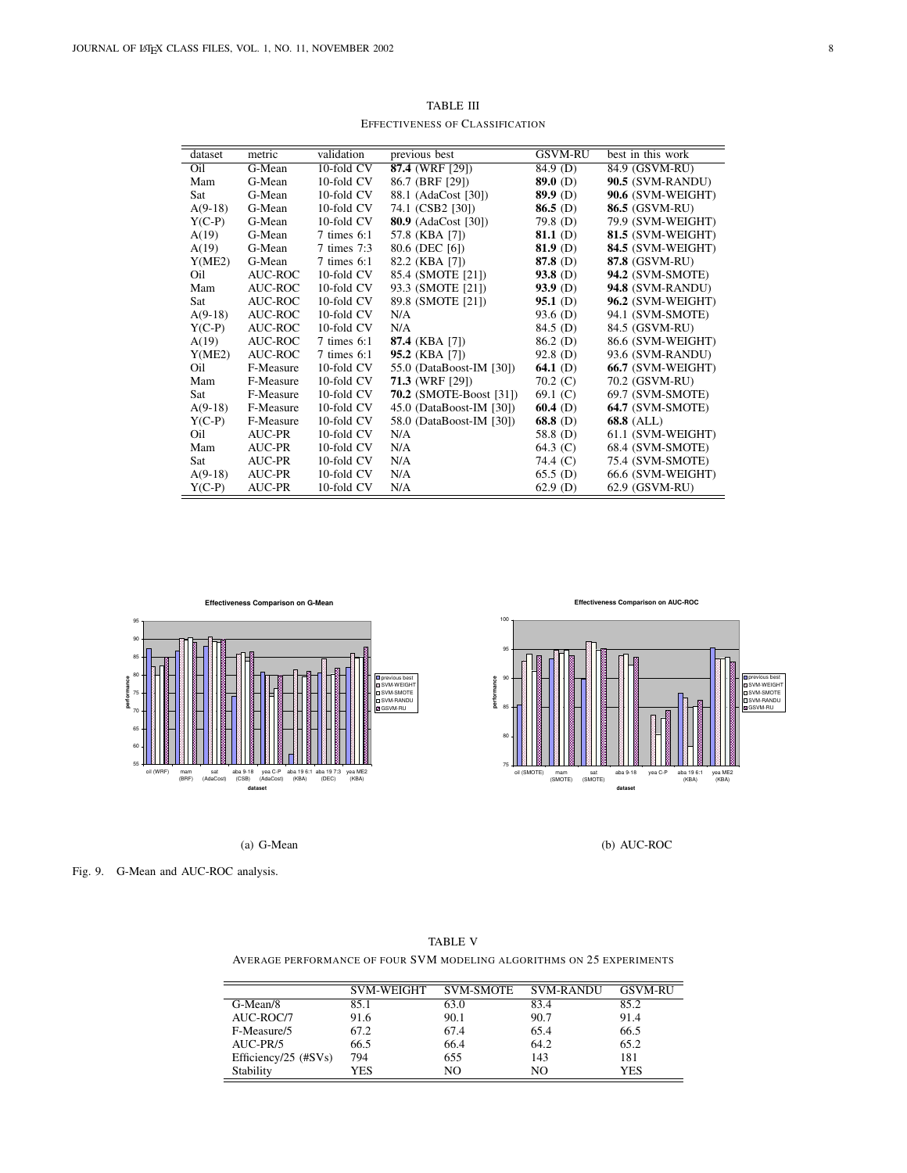| dataset   | metric              | validation     | previous best                  | GSVM-RU    | best in this work       |
|-----------|---------------------|----------------|--------------------------------|------------|-------------------------|
| Oil       | $\overline{G-Mean}$ | 10-fold CV     | $87.4$ (WRF [29])              | 84.9(D)    | 84.9 (GSVM-RU)          |
| Mam       | G-Mean              | 10-fold CV     | 86.7 (BRF [29])                | 89.0 $(D)$ | 90.5 (SVM-RANDU)        |
| Sat       | G-Mean              | 10-fold CV     | 88.1 (AdaCost [30])            | $89.9$ (D) | 90.6 (SVM-WEIGHT)       |
| $A(9-18)$ | G-Mean              | 10-fold CV     | 74.1 (CSB2 [30])               | $86.5$ (D) | <b>86.5 (GSVM-RU)</b>   |
| $Y(C-P)$  | G-Mean              | 10-fold CV     | <b>80.9</b> (AdaCost [30])     | 79.8 (D)   | 79.9 (SVM-WEIGHT)       |
| A(19)     | G-Mean              | $7 \times 6:1$ | 57.8 (KBA [7])                 | 81.1 $(D)$ | 81.5 (SVM-WEIGHT)       |
| A(19)     | G-Mean              | 7 times 7:3    | 80.6 (DEC [6])                 | $81.9$ (D) | 84.5 (SVM-WEIGHT)       |
| Y(ME2)    | G-Mean              | $7 \times 6:1$ | 82.2 (KBA [7])                 | 87.8 (D)   | 87.8 (GSVM-RU)          |
| Oil       | AUC-ROC             | 10-fold CV     | 85.4 (SMOTE [21])              | $93.8$ (D) | <b>94.2</b> (SVM-SMOTE) |
| Mam       | AUC-ROC             | 10-fold CV     | 93.3 (SMOTE [21])              | $93.9$ (D) | <b>94.8 (SVM-RANDU)</b> |
| Sat       | AUC-ROC             | 10-fold CV     | 89.8 (SMOTE [21])              | $95.1$ (D) | 96.2 (SVM-WEIGHT)       |
| $A(9-18)$ | AUC-ROC             | 10-fold CV     | N/A                            | 93.6 (D)   | 94.1 (SVM-SMOTE)        |
| $Y(C-P)$  | AUC-ROC             | 10-fold CV     | N/A                            | 84.5 (D)   | 84.5 (GSVM-RU)          |
| A(19)     | AUC-ROC             | $7 \times 6:1$ | 87.4 (KBA [7])                 | $86.2$ (D) | 86.6 (SVM-WEIGHT)       |
| Y(ME2)    | AUC-ROC             | $7 \times 6:1$ | 95.2 (KBA [7])                 | $92.8$ (D) | 93.6 (SVM-RANDU)        |
| Oil       | F-Measure           | 10-fold CV     | 55.0 (DataBoost-IM [30])       | 64.1 $(D)$ | 66.7 (SVM-WEIGHT)       |
| Mam       | F-Measure           | 10-fold CV     | <b>71.3 (WRF [29])</b>         | $70.2$ (C) | 70.2 (GSVM-RU)          |
| Sat       | F-Measure           | 10-fold CV     | <b>70.2</b> (SMOTE-Boost [31]) | 69.1 $(C)$ | 69.7 (SVM-SMOTE)        |
| $A(9-18)$ | F-Measure           | 10-fold CV     | 45.0 (DataBoost-IM [30])       | $60.4$ (D) | <b>64.7 (SVM-SMOTE)</b> |
| $Y(C-P)$  | F-Measure           | 10-fold CV     | 58.0 (DataBoost-IM [30])       | 68.8 (D)   | $68.8$ (ALL)            |
| Oil       | AUC-PR              | 10-fold CV     | N/A                            | 58.8 (D)   | 61.1 (SVM-WEIGHT)       |
| Mam       | AUC-PR              | 10-fold CV     | N/A                            | 64.3 $(C)$ | 68.4 (SVM-SMOTE)        |
| Sat       | AUC-PR              | 10-fold CV     | N/A                            | 74.4 (C)   | 75.4 (SVM-SMOTE)        |
| $A(9-18)$ | <b>AUC-PR</b>       | 10-fold CV     | N/A                            | 65.5(D)    | 66.6 (SVM-WEIGHT)       |
| $Y(C-P)$  | AUC-PR              | 10-fold CV     | N/A                            | $62.9$ (D) | 62.9 (GSVM-RU)          |
|           |                     |                |                                |            |                         |

TABLE III EFFECTIVENESS OF CLASSIFICATION



(a) G-Mean

**Effectiveness Comparison on AUC-ROC**



(b) AUC-ROC

Fig. 9. G-Mean and AUC-ROC analysis.

|                               | <b>SVM-WEIGHT</b> | <b>SVM-SMOTE</b> | <b>SVM-RANDU</b> | <b>GSVM-RU</b> |
|-------------------------------|-------------------|------------------|------------------|----------------|
| G-Mean/8                      | 85.1              | 63.0             | 83.4             | 85.2           |
| AUC-ROC/7                     | 91.6              | 90.1             | 90.7             | 91.4           |
| F-Measure/5                   | 67.2              | 67.4             | 65.4             | 66.5           |
| AUC-PR/5                      | 66.5              | 66.4             | 64.2             | 65.2           |
| Efficiency/25 $(\text{HSVs})$ | 794               | 655              | 143              | 181            |
| Stability                     | YES               | NO               | NO               | YES            |

TABLE V AVERAGE PERFORMANCE OF FOUR SVM MODELING ALGORITHMS ON 25 EXPERIMENTS